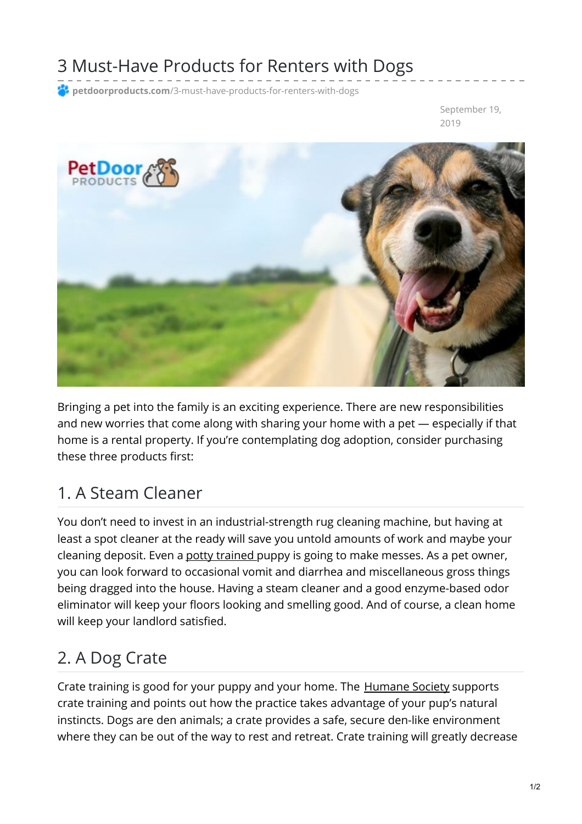## 3 Must-Have Products for Renters with Dogs

**<sup>2</sup> petdoorproducts.com**[/3-must-have-products-for-renters-with-dogs](https://petdoorproducts.com/3-must-have-products-for-renters-with-dogs/)

September 19, 2019



Bringing a pet into the family is an exciting experience. There are new responsibilities and new worries that come along with sharing your home with a pet — especially if that home is a rental property. If you're contemplating dog adoption, consider purchasing these three products first:

## 1. A Steam Cleaner

You don't need to invest in an industrial-strength rug cleaning machine, but having at least a spot cleaner at the ready will save you untold amounts of work and maybe your cleaning deposit. Even a potty [trained](https://petdoorproducts.com/puppy-potty-training-using-a-doggy-door-how-to-do-it/) puppy is going to make messes. As a pet owner, you can look forward to occasional vomit and diarrhea and miscellaneous gross things being dragged into the house. Having a steam cleaner and a good enzyme-based odor eliminator will keep your floors looking and smelling good. And of course, a clean home will keep your landlord satisfied.

## 2. A Dog Crate

Crate training is good for your puppy and your home. The **[Humane](https://www.humanesociety.org/resources/crate-training-101) Society supports** crate training and points out how the practice takes advantage of your pup's natural instincts. Dogs are den animals; a crate provides a safe, secure den-like environment where they can be out of the way to rest and retreat. Crate training will greatly decrease